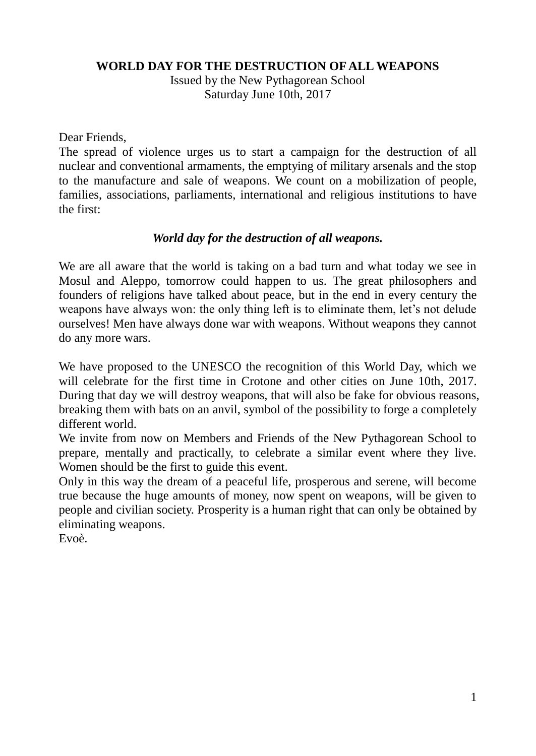#### **WORLD DAY FOR THE DESTRUCTION OF ALL WEAPONS**

Issued by the New Pythagorean School Saturday June 10th, 2017

Dear Friends,

The spread of violence urges us to start a campaign for the destruction of all nuclear and conventional armaments, the emptying of military arsenals and the stop to the manufacture and sale of weapons. We count on a mobilization of people, families, associations, parliaments, international and religious institutions to have the first:

#### *World day for the destruction of all weapons.*

We are all aware that the world is taking on a bad turn and what today we see in Mosul and Aleppo, tomorrow could happen to us. The great philosophers and founders of religions have talked about peace, but in the end in every century the weapons have always won: the only thing left is to eliminate them, let's not delude ourselves! Men have always done war with weapons. Without weapons they cannot do any more wars.

We have proposed to the UNESCO the recognition of this World Day, which we will celebrate for the first time in Crotone and other cities on June 10th, 2017. During that day we will destroy weapons, that will also be fake for obvious reasons, breaking them with bats on an anvil, symbol of the possibility to forge a completely different world.

We invite from now on Members and Friends of the New Pythagorean School to prepare, mentally and practically, to celebrate a similar event where they live. Women should be the first to guide this event.

Only in this way the dream of a peaceful life, prosperous and serene, will become true because the huge amounts of money, now spent on weapons, will be given to people and civilian society. Prosperity is a human right that can only be obtained by eliminating weapons.

Evoè.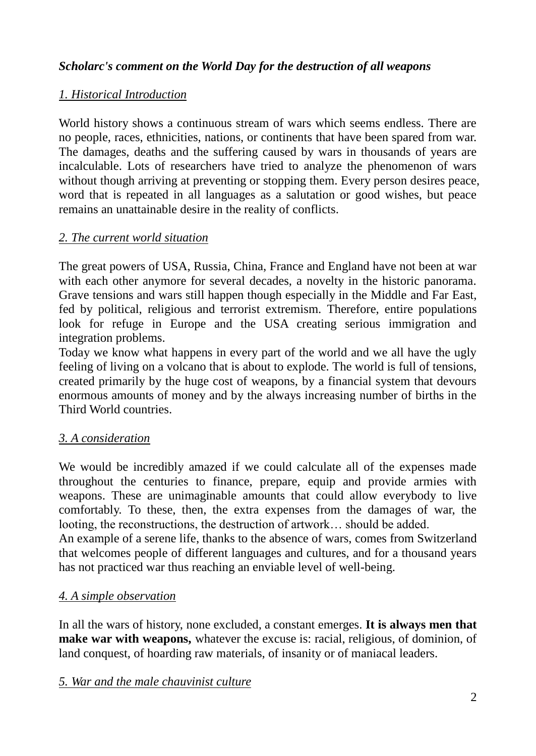# *Scholarc's comment on the World Day for the destruction of all weapons*

# *1. Historical Introduction*

World history shows a continuous stream of wars which seems endless. There are no people, races, ethnicities, nations, or continents that have been spared from war. The damages, deaths and the suffering caused by wars in thousands of years are incalculable. Lots of researchers have tried to analyze the phenomenon of wars without though arriving at preventing or stopping them. Every person desires peace, word that is repeated in all languages as a salutation or good wishes, but peace remains an unattainable desire in the reality of conflicts.

# *2. The current world situation*

The great powers of USA, Russia, China, France and England have not been at war with each other anymore for several decades, a novelty in the historic panorama. Grave tensions and wars still happen though especially in the Middle and Far East, fed by political, religious and terrorist extremism. Therefore, entire populations look for refuge in Europe and the USA creating serious immigration and integration problems.

Today we know what happens in every part of the world and we all have the ugly feeling of living on a volcano that is about to explode. The world is full of tensions, created primarily by the huge cost of weapons, by a financial system that devours enormous amounts of money and by the always increasing number of births in the Third World countries.

# *3. A consideration*

We would be incredibly amazed if we could calculate all of the expenses made throughout the centuries to finance, prepare, equip and provide armies with weapons. These are unimaginable amounts that could allow everybody to live comfortably. To these, then, the extra expenses from the damages of war, the looting, the reconstructions, the destruction of artwork… should be added.

An example of a serene life, thanks to the absence of wars, comes from Switzerland that welcomes people of different languages and cultures, and for a thousand years has not practiced war thus reaching an enviable level of well-being.

# *4. A simple observation*

In all the wars of history, none excluded, a constant emerges. **It is always men that make war with weapons,** whatever the excuse is: racial, religious, of dominion, of land conquest, of hoarding raw materials, of insanity or of maniacal leaders.

# *5. War and the male chauvinist culture*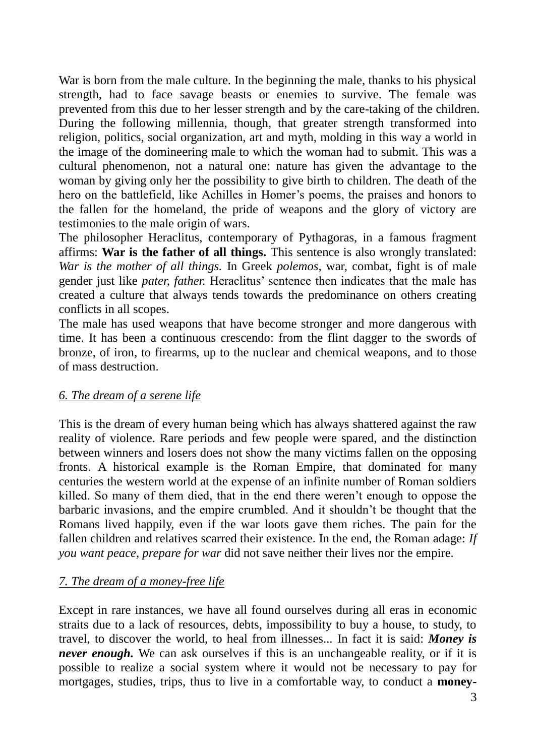War is born from the male culture. In the beginning the male, thanks to his physical strength, had to face savage beasts or enemies to survive. The female was prevented from this due to her lesser strength and by the care-taking of the children. During the following millennia, though, that greater strength transformed into religion, politics, social organization, art and myth, molding in this way a world in the image of the domineering male to which the woman had to submit. This was a cultural phenomenon, not a natural one: nature has given the advantage to the woman by giving only her the possibility to give birth to children. The death of the hero on the battlefield, like Achilles in Homer's poems, the praises and honors to the fallen for the homeland, the pride of weapons and the glory of victory are testimonies to the male origin of wars.

The philosopher Heraclitus, contemporary of Pythagoras, in a famous fragment affirms: **War is the father of all things.** This sentence is also wrongly translated: *War is the mother of all things.* In Greek *polemos,* war, combat, fight is of male gender just like *pater, father.* Heraclitus' sentence then indicates that the male has created a culture that always tends towards the predominance on others creating conflicts in all scopes.

The male has used weapons that have become stronger and more dangerous with time. It has been a continuous crescendo: from the flint dagger to the swords of bronze, of iron, to firearms, up to the nuclear and chemical weapons, and to those of mass destruction.

#### *6. The dream of a serene life*

This is the dream of every human being which has always shattered against the raw reality of violence. Rare periods and few people were spared, and the distinction between winners and losers does not show the many victims fallen on the opposing fronts. A historical example is the Roman Empire, that dominated for many centuries the western world at the expense of an infinite number of Roman soldiers killed. So many of them died, that in the end there weren't enough to oppose the barbaric invasions, and the empire crumbled. And it shouldn't be thought that the Romans lived happily, even if the war loots gave them riches. The pain for the fallen children and relatives scarred their existence. In the end, the Roman adage: *If you want peace, prepare for war* did not save neither their lives nor the empire.

#### *7. The dream of a money-free life*

Except in rare instances, we have all found ourselves during all eras in economic straits due to a lack of resources, debts, impossibility to buy a house, to study, to travel, to discover the world, to heal from illnesses... In fact it is said: *Money is never enough*. We can ask ourselves if this is an unchangeable reality, or if it is possible to realize a social system where it would not be necessary to pay for mortgages, studies, trips, thus to live in a comfortable way, to conduct a **money-**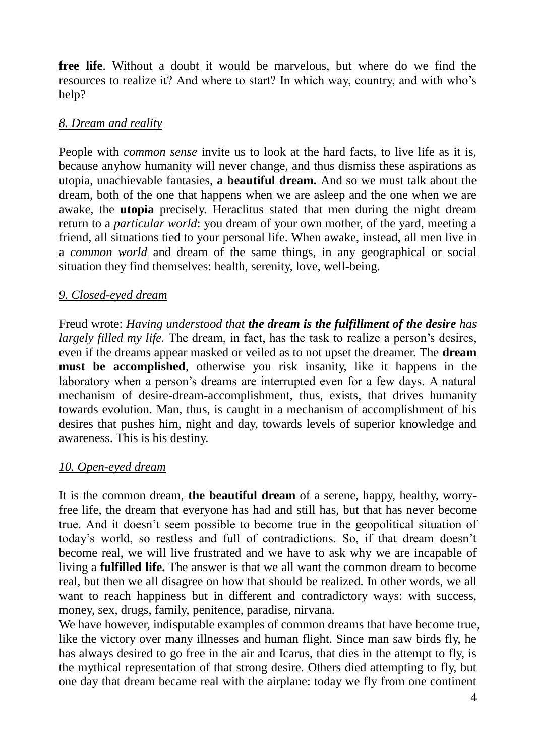**free life**. Without a doubt it would be marvelous, but where do we find the resources to realize it? And where to start? In which way, country, and with who's help?

#### *8. Dream and reality*

People with *common sense* invite us to look at the hard facts, to live life as it is, because anyhow humanity will never change, and thus dismiss these aspirations as utopia, unachievable fantasies, **a beautiful dream.** And so we must talk about the dream, both of the one that happens when we are asleep and the one when we are awake, the **utopia** precisely. Heraclitus stated that men during the night dream return to a *particular world*: you dream of your own mother, of the yard, meeting a friend, all situations tied to your personal life. When awake, instead, all men live in a *common world* and dream of the same things, in any geographical or social situation they find themselves: health, serenity, love, well-being.

#### *9. Closed-eyed dream*

Freud wrote: *Having understood that the dream is the fulfillment of the desire has largely filled my life.* The dream, in fact, has the task to realize a person's desires, even if the dreams appear masked or veiled as to not upset the dreamer. The **dream must be accomplished**, otherwise you risk insanity, like it happens in the laboratory when a person's dreams are interrupted even for a few days. A natural mechanism of desire-dream-accomplishment, thus, exists, that drives humanity towards evolution. Man, thus, is caught in a mechanism of accomplishment of his desires that pushes him, night and day, towards levels of superior knowledge and awareness. This is his destiny.

#### *10. Open-eyed dream*

It is the common dream, **the beautiful dream** of a serene, happy, healthy, worryfree life, the dream that everyone has had and still has, but that has never become true. And it doesn't seem possible to become true in the geopolitical situation of today's world, so restless and full of contradictions. So, if that dream doesn't become real, we will live frustrated and we have to ask why we are incapable of living a **fulfilled life.** The answer is that we all want the common dream to become real, but then we all disagree on how that should be realized. In other words, we all want to reach happiness but in different and contradictory ways: with success, money, sex, drugs, family, penitence, paradise, nirvana.

We have however, indisputable examples of common dreams that have become true, like the victory over many illnesses and human flight. Since man saw birds fly, he has always desired to go free in the air and Icarus, that dies in the attempt to fly, is the mythical representation of that strong desire. Others died attempting to fly, but one day that dream became real with the airplane: today we fly from one continent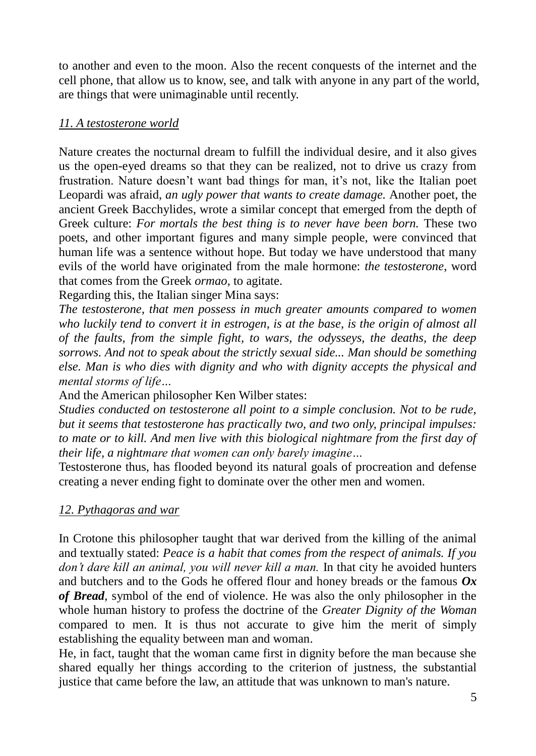to another and even to the moon. Also the recent conquests of the internet and the cell phone, that allow us to know, see, and talk with anyone in any part of the world, are things that were unimaginable until recently.

### *11. A testosterone world*

Nature creates the nocturnal dream to fulfill the individual desire, and it also gives us the open-eyed dreams so that they can be realized, not to drive us crazy from frustration. Nature doesn't want bad things for man, it's not, like the Italian poet Leopardi was afraid, *an ugly power that wants to create damage.* Another poet, the ancient Greek Bacchylides, wrote a similar concept that emerged from the depth of Greek culture: *For mortals the best thing is to never have been born.* These two poets, and other important figures and many simple people, were convinced that human life was a sentence without hope. But today we have understood that many evils of the world have originated from the male hormone: *the testosterone*, word that comes from the Greek *ormao*, to agitate.

Regarding this, the Italian singer Mina says:

*The testosterone, that men possess in much greater amounts compared to women who luckily tend to convert it in estrogen, is at the base, is the origin of almost all of the faults, from the simple fight, to wars, the odysseys, the deaths, the deep sorrows. And not to speak about the strictly sexual side... Man should be something else. Man is who dies with dignity and who with dignity accepts the physical and mental storms of life…*

And the American philosopher Ken Wilber states:

*Studies conducted on testosterone all point to a simple conclusion. Not to be rude, but it seems that testosterone has practically two, and two only, principal impulses:*  to mate or to kill. And men live with this biological nightmare from the first day of *their life, a nightmare that women can only barely imagine…*

Testosterone thus, has flooded beyond its natural goals of procreation and defense creating a never ending fight to dominate over the other men and women.

# *12. Pythagoras and war*

In Crotone this philosopher taught that war derived from the killing of the animal and textually stated: *Peace is a habit that comes from the respect of animals. If you don't dare kill an animal, you will never kill a man.* In that city he avoided hunters and butchers and to the Gods he offered flour and honey breads or the famous *Ox of Bread,* symbol of the end of violence. He was also the only philosopher in the whole human history to profess the doctrine of the *Greater Dignity of the Woman* compared to men. It is thus not accurate to give him the merit of simply establishing the equality between man and woman.

He, in fact, taught that the woman came first in dignity before the man because she shared equally her things according to the criterion of justness, the substantial justice that came before the law, an attitude that was unknown to man's nature.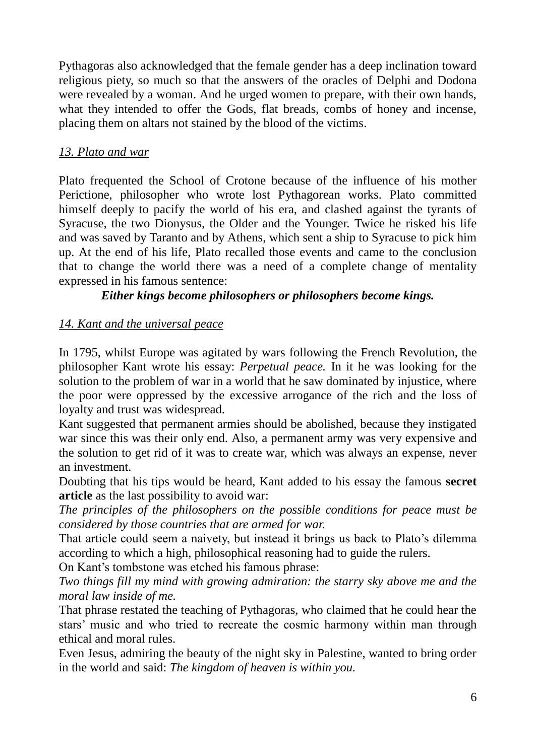Pythagoras also acknowledged that the female gender has a deep inclination toward religious piety, so much so that the answers of the oracles of Delphi and Dodona were revealed by a woman. And he urged women to prepare, with their own hands, what they intended to offer the Gods, flat breads, combs of honey and incense, placing them on altars not stained by the blood of the victims.

# *13. Plato and war*

Plato frequented the School of Crotone because of the influence of his mother Perictione, philosopher who wrote lost Pythagorean works. Plato committed himself deeply to pacify the world of his era, and clashed against the tyrants of Syracuse, the two Dionysus, the Older and the Younger. Twice he risked his life and was saved by Taranto and by Athens, which sent a ship to Syracuse to pick him up. At the end of his life, Plato recalled those events and came to the conclusion that to change the world there was a need of a complete change of mentality expressed in his famous sentence:

# *Either kings become philosophers or philosophers become kings.*

# *14. Kant and the universal peace*

In 1795, whilst Europe was agitated by wars following the French Revolution, the philosopher Kant wrote his essay: *Perpetual peace.* In it he was looking for the solution to the problem of war in a world that he saw dominated by injustice, where the poor were oppressed by the excessive arrogance of the rich and the loss of loyalty and trust was widespread.

Kant suggested that permanent armies should be abolished, because they instigated war since this was their only end. Also, a permanent army was very expensive and the solution to get rid of it was to create war, which was always an expense, never an investment.

Doubting that his tips would be heard, Kant added to his essay the famous **secret article** as the last possibility to avoid war:

*The principles of the philosophers on the possible conditions for peace must be considered by those countries that are armed for war.*

That article could seem a naivety, but instead it brings us back to Plato's dilemma according to which a high, philosophical reasoning had to guide the rulers.

On Kant's tombstone was etched his famous phrase:

*Two things fill my mind with growing admiration: the starry sky above me and the moral law inside of me.*

That phrase restated the teaching of Pythagoras, who claimed that he could hear the stars' music and who tried to recreate the cosmic harmony within man through ethical and moral rules.

Even Jesus, admiring the beauty of the night sky in Palestine, wanted to bring order in the world and said: *The kingdom of heaven is within you.*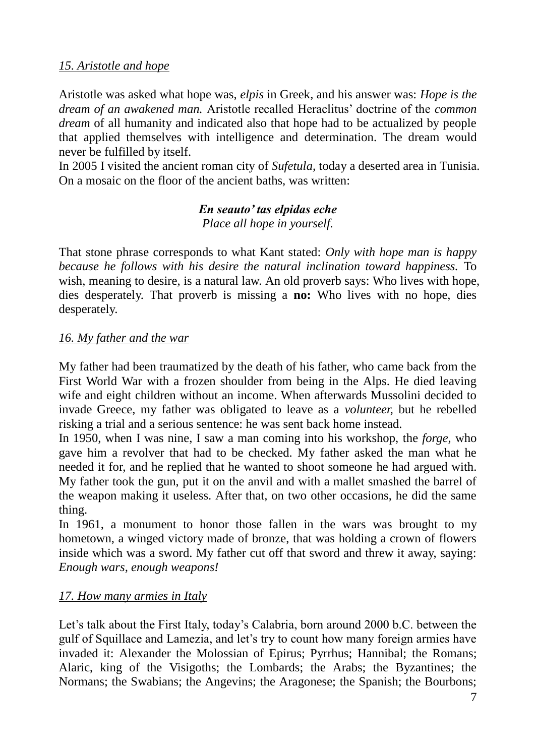# *15. Aristotle and hope*

Aristotle was asked what hope was, *elpis* in Greek, and his answer was: *Hope is the dream of an awakened man.* Aristotle recalled Heraclitus' doctrine of the *common dream* of all humanity and indicated also that hope had to be actualized by people that applied themselves with intelligence and determination. The dream would never be fulfilled by itself.

In 2005 I visited the ancient roman city of *Sufetula,* today a deserted area in Tunisia. On a mosaic on the floor of the ancient baths, was written:

# *En seauto' tas elpidas eche Place all hope in yourself.*

That stone phrase corresponds to what Kant stated: *Only with hope man is happy because he follows with his desire the natural inclination toward happiness.* To wish, meaning to desire, is a natural law. An old proverb says: Who lives with hope, dies desperately. That proverb is missing a **no:** Who lives with no hope, dies desperately.

# *16. My father and the war*

My father had been traumatized by the death of his father, who came back from the First World War with a frozen shoulder from being in the Alps. He died leaving wife and eight children without an income. When afterwards Mussolini decided to invade Greece, my father was obligated to leave as a *volunteer,* but he rebelled risking a trial and a serious sentence: he was sent back home instead.

In 1950, when I was nine, I saw a man coming into his workshop, the *forge,* who gave him a revolver that had to be checked. My father asked the man what he needed it for, and he replied that he wanted to shoot someone he had argued with. My father took the gun, put it on the anvil and with a mallet smashed the barrel of the weapon making it useless. After that, on two other occasions, he did the same thing.

In 1961, a monument to honor those fallen in the wars was brought to my hometown, a winged victory made of bronze, that was holding a crown of flowers inside which was a sword. My father cut off that sword and threw it away, saying: *Enough wars, enough weapons!*

# *17. How many armies in Italy*

Let's talk about the First Italy, today's Calabria, born around 2000 b.C. between the gulf of Squillace and Lamezia, and let's try to count how many foreign armies have invaded it: Alexander the Molossian of Epirus; Pyrrhus; Hannibal; the Romans; Alaric, king of the Visigoths; the Lombards; the Arabs; the Byzantines; the Normans; the Swabians; the Angevins; the Aragonese; the Spanish; the Bourbons;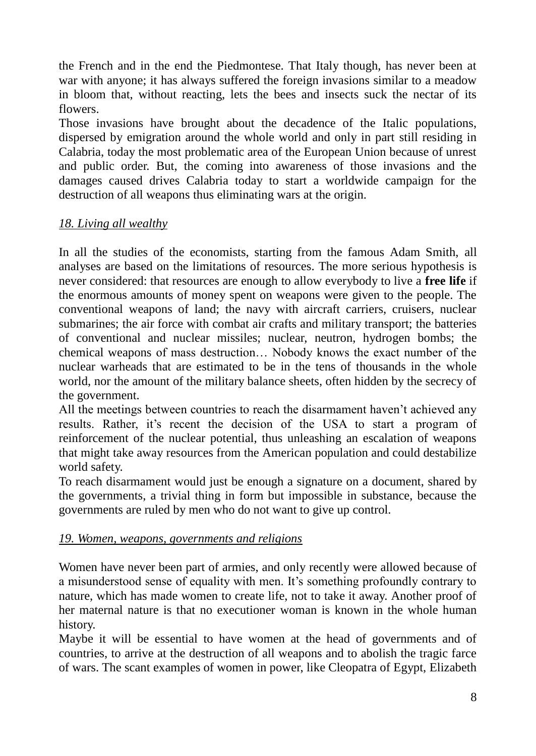the French and in the end the Piedmontese. That Italy though, has never been at war with anyone; it has always suffered the foreign invasions similar to a meadow in bloom that, without reacting, lets the bees and insects suck the nectar of its flowers.

Those invasions have brought about the decadence of the Italic populations, dispersed by emigration around the whole world and only in part still residing in Calabria, today the most problematic area of the European Union because of unrest and public order. But, the coming into awareness of those invasions and the damages caused drives Calabria today to start a worldwide campaign for the destruction of all weapons thus eliminating wars at the origin.

### *18. Living all wealthy*

In all the studies of the economists, starting from the famous Adam Smith, all analyses are based on the limitations of resources. The more serious hypothesis is never considered: that resources are enough to allow everybody to live a **free life** if the enormous amounts of money spent on weapons were given to the people. The conventional weapons of land; the navy with aircraft carriers, cruisers, nuclear submarines; the air force with combat air crafts and military transport; the batteries of conventional and nuclear missiles; nuclear, neutron, hydrogen bombs; the chemical weapons of mass destruction… Nobody knows the exact number of the nuclear warheads that are estimated to be in the tens of thousands in the whole world, nor the amount of the military balance sheets, often hidden by the secrecy of the government.

All the meetings between countries to reach the disarmament haven't achieved any results. Rather, it's recent the decision of the USA to start a program of reinforcement of the nuclear potential, thus unleashing an escalation of weapons that might take away resources from the American population and could destabilize world safety.

To reach disarmament would just be enough a signature on a document, shared by the governments, a trivial thing in form but impossible in substance, because the governments are ruled by men who do not want to give up control.

#### *19. Women, weapons, governments and religions*

Women have never been part of armies, and only recently were allowed because of a misunderstood sense of equality with men. It's something profoundly contrary to nature, which has made women to create life, not to take it away. Another proof of her maternal nature is that no executioner woman is known in the whole human history.

Maybe it will be essential to have women at the head of governments and of countries, to arrive at the destruction of all weapons and to abolish the tragic farce of wars. The scant examples of women in power, like Cleopatra of Egypt, Elizabeth